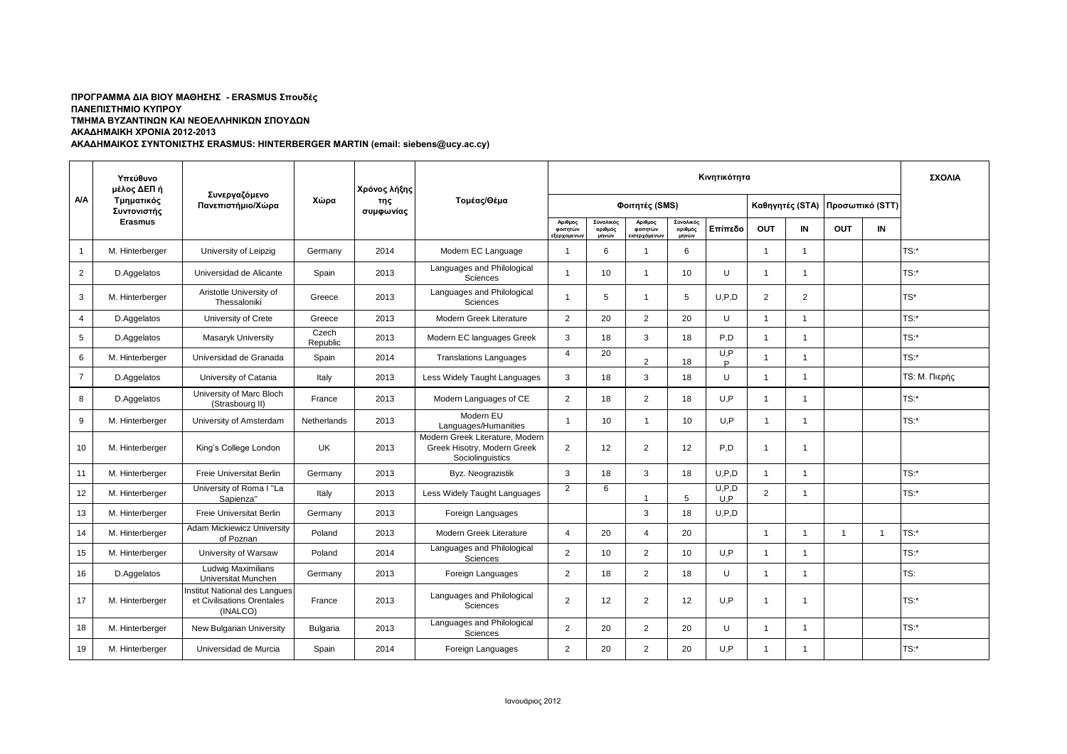## **ΠΡΟΓΡΑΜΜΑ ΔΙΑ ΒΙΟΥ ΜΑΘΗΣΗΣ - ERASMUS Σπουδές ΠΑΝΕΠΙΣΤΗΜΙΟ ΚΥΠΡΟΥ ΤΜΗΜΑ ΒΥΖΑΝΤΙΝΩΝ ΚΑΙ ΝΕΟΕΛΛΗΝΙΚΩΝ ΣΠΟΥΔΩΝ ΑΚΑΔΗΜΑΙΚΗ ΧΡΟΝΙΑ 2012-2013**

**ΑΚΑΔΗΜΑΙΚΟΣ ΣΥΝΤΟΝΙΣΤΗΣ ERASMUS: HINTERBERGER MARTIN (email: siebens@ucy.ac.cy)**

|                | Υπεύθυνο<br>μέλος ΔΕΠ ή<br>Τμηματικός<br>Συντονιστής | Συνεργαζόμενο<br>Πανεπιστήμιο/Χώρα                                      | Χώρα              | Χρόνος λήξης<br>της<br>συμφωνίας | Τομέας/Θέμα                                                                        | Κινητικότητα                              |                               |                                    |                               |                |                |                 |                 |                | ΣΧΟΛΙΑ               |
|----------------|------------------------------------------------------|-------------------------------------------------------------------------|-------------------|----------------------------------|------------------------------------------------------------------------------------|-------------------------------------------|-------------------------------|------------------------------------|-------------------------------|----------------|----------------|-----------------|-----------------|----------------|----------------------|
| NΛ             |                                                      |                                                                         |                   |                                  |                                                                                    | Φοιτητές (SMS)                            |                               |                                    |                               |                |                | Καθηγητές (STA) | Προσωπικό (STT) |                |                      |
|                | <b>Erasmus</b>                                       |                                                                         |                   |                                  |                                                                                    | Αριθμος<br>φοιτητών<br><b>ιξερχομενων</b> | Σύνολικός<br>αριθμός<br>μηνών | Αριθμος<br>φοιτητών<br>ισερχόμενων | Σύνολικός<br>αριθμός<br>μηνών | Επίπεδο        | <b>OUT</b>     | IN              | <b>OUT</b>      | $\blacksquare$ |                      |
| $\mathbf{1}$   | M. Hinterberger                                      | University of Leipzig                                                   | Germany           | 2014                             | Modern EC Language                                                                 | -1                                        | 6                             |                                    | 6                             |                | $\overline{1}$ | $\overline{1}$  |                 |                | TS:*                 |
| $\overline{2}$ | D.Aggelatos                                          | Universidad de Alicante                                                 | Spain             | 2013                             | Languages and Philological<br>Sciences                                             | $\overline{1}$                            | 10                            | -1                                 | 10                            | U              | $\overline{1}$ | $\overline{1}$  |                 |                | TS:*                 |
| 3              | M. Hinterberger                                      | Aristotle University of<br>Thessaloniki                                 | Greece            | 2013                             | Languages and Philological<br>Sciences                                             |                                           | 5                             |                                    | 5                             | U.P.D          | 2              | $\overline{2}$  |                 |                | $TS^*$               |
| $\overline{4}$ | D.Aggelatos                                          | University of Crete                                                     | Greece            | 2013                             | Modern Greek Literature                                                            | 2                                         | 20                            | 2                                  | 20                            | U              | $\overline{1}$ | $\overline{1}$  |                 |                | TS:                  |
| 5              | D.Aggelatos                                          | Masaryk University                                                      | Czech<br>Republic | 2013                             | Modern EC languages Greek                                                          | 3                                         | 18                            | 3                                  | 18                            | P.D            | $\overline{1}$ | $\overline{1}$  |                 |                | TS:*                 |
| 6              | M. Hinterberger                                      | Universidad de Granada                                                  | Spain             | 2014                             | <b>Translations Languages</b>                                                      | $\overline{4}$                            | 20                            | $\mathcal{P}$                      | 18                            | U, P<br>P      | $\mathbf{1}$   | $\overline{1}$  |                 |                | $TS:$ *              |
| $\overline{7}$ | D.Aggelatos                                          | University of Catania                                                   | Italy             | 2013                             | Less Widely Taught Languages                                                       | 3                                         | 18                            | 3                                  | 18                            | U              | $\overline{1}$ | -1              |                 |                | <b>TS: Μ. Πιερής</b> |
| 8              | D.Aggelatos                                          | University of Marc Bloch<br>(Strasbourg II)                             | France            | 2013                             | Modern Languages of CE                                                             | 2                                         | 18                            | 2                                  | 18                            | U.P            | $\overline{1}$ |                 |                 |                | TS:*                 |
| 9              | M. Hinterberger                                      | University of Amsterdam                                                 | Netherlands       | 2013                             | Modern EU<br>Languages/Humanities                                                  | $\overline{1}$                            | 10                            | $\overline{1}$                     | 10                            | U.P            | $\mathbf{1}$   | $\overline{1}$  |                 |                | TS:                  |
| 10             | M. Hinterberger                                      | King's College London                                                   | UK                | 2013                             | Modern Greek Literature, Modern<br>Greek Hisotry, Modern Greek<br>Sociolinguistics | 2                                         | 12                            | 2                                  | 12                            | P,D            | $\overline{1}$ |                 |                 |                |                      |
| 11             | M. Hinterberger                                      | Freie Universitat Berlin                                                | Germany           | 2013                             | Byz. Neograzistik                                                                  | 3                                         | 18                            | 3                                  | 18                            | U.P.D          | $\mathbf{1}$   | $\overline{1}$  |                 |                | TS:*                 |
| 12             | M. Hinterberger                                      | University of Roma I "La<br>Sapienza"                                   | Italy             | 2013                             | Less Widely Taught Languages                                                       | 2                                         | 6                             |                                    | 5                             | U, P, D<br>U.P | 2              | -1              |                 |                | TS:*                 |
| 13             | M. Hinterberger                                      | Freie Universitat Berlin                                                | Germany           | 2013                             | Foreign Languages                                                                  |                                           |                               | 3                                  | 18                            | U.P.D          |                |                 |                 |                |                      |
| 14             | M. Hinterberger                                      | Adam Mickiewicz University<br>of Poznan                                 | Poland            | 2013                             | Modern Greek Literature                                                            | $\Delta$                                  | 20                            | $\Delta$                           | 20                            |                | $\overline{1}$ |                 | $\overline{1}$  | $\overline{1}$ | TS:                  |
| 15             | M. Hinterberger                                      | University of Warsaw                                                    | Poland            | 2014                             | Languages and Philological<br>Sciences                                             | 2                                         | 10                            | 2                                  | 10                            | U.P            | $\overline{1}$ | -1              |                 |                | $TS:$ *              |
| 16             | D.Aggelatos                                          | <b>Ludwig Maximilians</b><br>Universitat Munchen                        | Germany           | 2013                             | Foreign Languages                                                                  | 2                                         | 18                            | 2                                  | 18                            | U              | -1             | -1              |                 |                | TS:                  |
| 17             | M. Hinterberger                                      | Institut National des Langues<br>et Civilisations Orentales<br>(INALCO) | France            | 2013                             | Languages and Philological<br>Sciences                                             | 2                                         | 12                            | 2                                  | 12                            | U.P            | $\overline{1}$ | -1              |                 |                | TS:*                 |
| 18             | M. Hinterberger                                      | New Bulgarian University                                                | <b>Bulgaria</b>   | 2013                             | Languages and Philological<br>Sciences                                             | 2                                         | 20                            | 2                                  | 20                            | U              | $\overline{1}$ |                 |                 |                | $TS:$ *              |
| 19             | M. Hinterberger                                      | Universidad de Murcia                                                   | Spain             | 2014                             | Foreign Languages                                                                  | 2                                         | 20                            | 2                                  | 20                            | U.P            | $\mathbf{1}$   | 1               |                 |                | TS:                  |